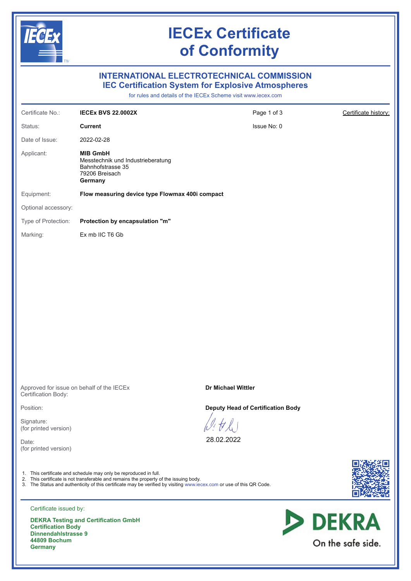

On the safe side.

DEKRA Testing and Certification GmbH Certification Body Dinnendahlstrasse 9 44809 Bochum **Germany**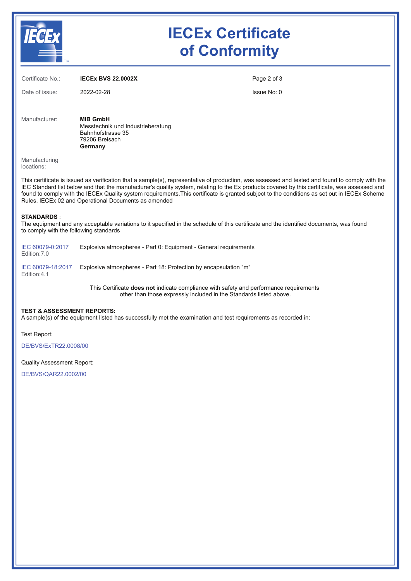

# IECEx Certificate of Conformity

| Certificate No.:                                                                                                                                                                                                                                                                                                                                                                                                                                                                                         | <b>IECEX BVS 22.0002X</b>                                                                              | Page 2 of 3 |  |
|----------------------------------------------------------------------------------------------------------------------------------------------------------------------------------------------------------------------------------------------------------------------------------------------------------------------------------------------------------------------------------------------------------------------------------------------------------------------------------------------------------|--------------------------------------------------------------------------------------------------------|-------------|--|
| Date of issue:                                                                                                                                                                                                                                                                                                                                                                                                                                                                                           | 2022-02-28                                                                                             | Issue No: 0 |  |
| Manufacturer:                                                                                                                                                                                                                                                                                                                                                                                                                                                                                            | <b>MIB GmbH</b><br>Messtechnik und Industrieberatung<br>Bahnhofstrasse 35<br>79206 Breisach<br>Germany |             |  |
| Manufacturing<br>locations:                                                                                                                                                                                                                                                                                                                                                                                                                                                                              |                                                                                                        |             |  |
| This certificate is issued as verification that a sample(s), representative of production, was assessed and tested and found to comply with the<br>IEC Standard list below and that the manufacturer's quality system, relating to the Ex products covered by this certificate, was assessed and<br>found to comply with the IECEx Quality system requirements. This certificate is granted subject to the conditions as set out in IECEx Scheme<br>Rules, IECEx 02 and Operational Documents as amended |                                                                                                        |             |  |

#### STANDARDS :

The equipment and any acceptable variations to it specified in the schedule of this certificate and the identified documents, was found to comply with the following standards

| IEC 60079-0:2017 | Explosive atmospheres - Part 0: Equipment - General requirements |
|------------------|------------------------------------------------------------------|
| Edition: 7.0     |                                                                  |

[IEC 60079-18:2017](https://webstore.iec.ch/publication/61334)  Explosive atmospheres - Part 18: Protection by encapsulation "m" Edition:4.1

> This Certificate does not indicate compliance with safety and performance requirements other than those expressly included in the Standards listed above.

## TEST & ASSESSMENT REPORTS:

A sample(s) of the equipment listed has successfully met the examination and test requirements as recorded in:

Test Report:

[DE/BVS/ExTR22.0008/00](https://www.iecex-certs.com/#/deliverables/REPORT/81456/view)

## Quality Assessment Report:

[DE/BVS/QAR22.0002/00](https://www.iecex-certs.com/#/deliverables/REPORT/81447/view)